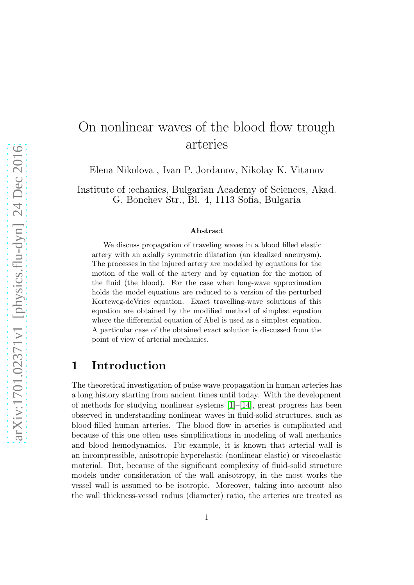# On nonlinear waves of the blood flow trough arteries

Elena Nikolova , Ivan P. Jordanov, Nikolay K. Vitanov

Institute of :echanics, Bulgarian Academy of Sciences, Akad. G. Bonchev Str., Bl. 4, 1113 Sofia, Bulgaria

#### Abstract

We discuss propagation of traveling waves in a blood filled elastic artery with an axially symmetric dilatation (an idealized aneurysm). The processes in the injured artery are modelled by equations for the motion of the wall of the artery and by equation for the motion of the fluid (the blood). For the case when long-wave approximation holds the model equations are reduced to a version of the perturbed Korteweg-deVries equation. Exact travelling-wave solutions of this equation are obtained by the modified method of simplest equation where the differential equation of Abel is used as a simplest equation. A particular case of the obtained exact solution is discussed from the point of view of arterial mechanics.

### 1 Introduction

The theoretical investigation of pulse wave propagation in human arteries has a long history starting from ancient times until today. With the development of methods for studying nonlinear systems [\[1\]](#page-13-0)–[\[14\]](#page-14-0), great progress has been observed in understanding nonlinear waves in fluid-solid structures, such as blood-filled human arteries. The blood flow in arteries is complicated and because of this one often uses simplifications in modeling of wall mechanics and blood hemodynamics. For example, it is known that arterial wall is an incompressible, anisotropic hyperelastic (nonlinear elastic) or viscoelastic material. But, because of the significant complexity of fluid-solid structure models under consideration of the wall anisotropy, in the most works the vessel wall is assumed to be isotropic. Moreover, taking into account also the wall thickness-vessel radius (diameter) ratio, the arteries are treated as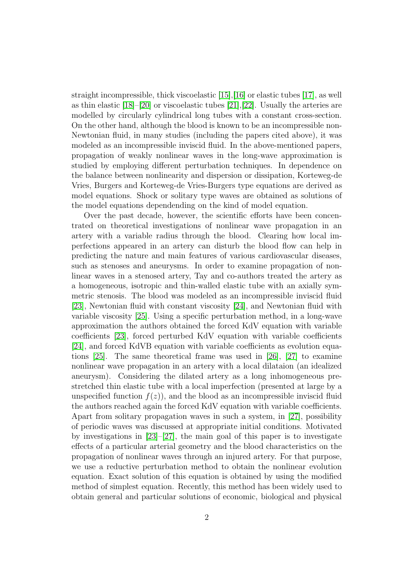straight incompressible, thick viscoelastic [\[15\]](#page-14-1),[\[16\]](#page-14-2) or elastic tubes [\[17\]](#page-14-3), as well as thin elastic [\[18\]](#page-15-0)–[\[20\]](#page-15-1) or viscoelastic tubes [\[21\]](#page-15-2),[\[22\]](#page-15-3). Usually the arteries are modelled by circularly cylindrical long tubes with a constant cross-section. On the other hand, although the blood is known to be an incompressible non-Newtonian fluid, in many studies (including the papers cited above), it was modeled as an incompressible inviscid fluid. In the above-mentioned papers, propagation of weakly nonlinear waves in the long-wave approximation is studied by employing different perturbation techniques. In dependence on the balance between nonlinearity and dispersion or dissipation, Korteweg-de Vries, Burgers and Korteweg-de Vries-Burgers type equations are derived as model equations. Shock or solitary type waves are obtained as solutions of the model equations dependending on the kind of model equation.

Over the past decade, however, the scientific efforts have been concentrated on theoretical investigations of nonlinear wave propagation in an artery with a variable radius through the blood. Clearing how local imperfections appeared in an artery can disturb the blood flow can help in predicting the nature and main features of various cardiovascular diseases, such as stenoses and aneurysms. In order to examine propagation of nonlinear waves in a stenosed artery, Tay and co-authors treated the artery as a homogeneous, isotropic and thin-walled elastic tube with an axially symmetric stenosis. The blood was modeled as an incompressible inviscid fluid [\[23\]](#page-15-4), Newtonian fluid with constant viscosity [\[24\]](#page-15-5), and Newtonian fluid with variable viscosity [\[25\]](#page-15-6). Using a specific perturbation method, in a long-wave approximation the authors obtained the forced KdV equation with variable coefficients [\[23\]](#page-15-4), forced perturbed KdV equation with variable coefficients [\[24\]](#page-15-5), and forced KdVB equation with variable coefficients as evolution equations [\[25\]](#page-15-6). The same theoretical frame was used in [\[26\]](#page-15-7), [\[27\]](#page-15-8) to examine nonlinear wave propagation in an artery with a local dilataion (an idealized aneurysm). Considering the dilated artery as a long inhomogeneous prestretched thin elastic tube with a local imperfection (presented at large by a unspecified function  $f(z)$ , and the blood as an incompressible inviscid fluid the authors reached again the forced KdV equation with variable coefficients. Apart from solitary propagation waves in such a system, in [\[27\]](#page-15-8), possibility of periodic waves was discussed at appropriate initial conditions. Motivated by investigations in  $[23]-[27]$  $[23]-[27]$ , the main goal of this paper is to investigate effects of a particular arterial geometry and the blood characteristics on the propagation of nonlinear waves through an injured artery. For that purpose, we use a reductive perturbation method to obtain the nonlinear evolution equation. Exact solution of this equation is obtained by using the modified method of simplest equation. Recently, this method has been widely used to obtain general and particular solutions of economic, biological and physical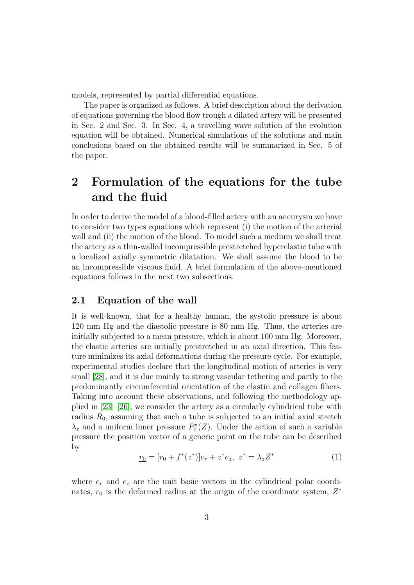models, represented by partial differential equations.

The paper is organized as follows. A brief description about the derivation of equations governing the blood flow trough a dilated artery will be presented in Sec. 2 and Sec. 3. In Sec. 4, a travelling wave solution of the evolution equation will be obtained. Numerical simulations of the solutions and main conclusions based on the obtained results will be summarized in Sec. 5 of the paper.

## 2 Formulation of the equations for the tube and the fluid

In order to derive the model of a blood-filled artery with an aneurysm we have to consider two types equations which represent (i) the motion of the arterial wall and (ii) the motion of the blood. To model such a medium we shall treat the artery as a thin-walled incompressible prestretched hyperelastic tube with a localized axially symmetric dilatation. We shall assume the blood to be an incompressible viscous fluid. A brief formulation of the above–mentioned equations follows in the next two subsections.

#### 2.1 Equation of the wall

It is well-known, that for a healthy human, the systolic pressure is about 120 mm Hg and the diastolic pressure is 80 mm Hg. Thus, the arteries are initially subjected to a mean pressure, which is about 100 mm Hg. Moreover, the elastic arteries are initially prestretched in an axial direction. This feature minimizes its axial deformations during the pressure cycle. For example, experimental studies declare that the longitudinal motion of arteries is very small [\[28\]](#page-15-9), and it is due mainly to strong vascular tethering and partly to the predominantly circumferential orientation of the elastin and collagen fibers. Taking into account these observations, and following the methodology applied in [\[23\]](#page-15-4)–[\[26\]](#page-15-7), we consider the artery as a circularly cylindrical tube with radius  $R_0$ , assuming that such a tube is subjected to an initial axial stretch  $\lambda_z$  and a uniform inner pressure  $P_0^*$  $\mathcal{O}_0^*(Z)$ . Under the action of such a variable pressure the position vector of a generic point on the tube can be described by

$$
\underline{r_0} = [r_0 + f^*(z^*)]e_r + z^*e_z, \ z^* = \lambda_z Z^* \tag{1}
$$

where  $e_r$  and  $e_z$  are the unit basic vectors in the cylindrical polar coordinates,  $r_0$  is the deformed radius at the origin of the coordinate system,  $Z^*$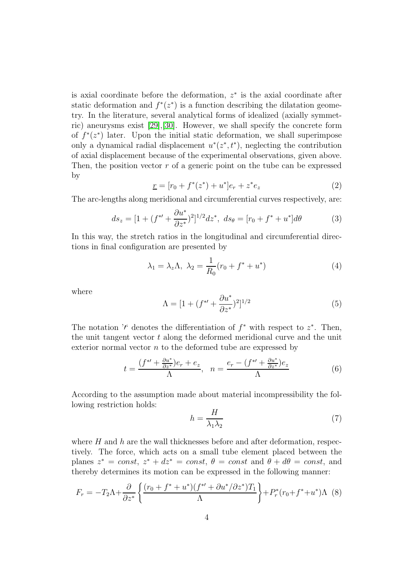is axial coordinate before the deformation,  $z^*$  is the axial coordinate after static deformation and  $f^*(z^*)$  is a function describing the dilatation geometry. In the literature, several analytical forms of idealized (axially symmetric) aneurysms exist [\[29\]](#page-16-0),[\[30\]](#page-16-1). However, we shall specify the concrete form of  $f^*(z^*)$  later. Upon the initial static deformation, we shall superimpose only a dynamical radial displacement  $u^*(z^*, t^*)$ , neglecting the contribution of axial displacement because of the experimental observations, given above. Then, the position vector  $r$  of a generic point on the tube can be expressed by

$$
\underline{r} = [r_0 + f^*(z^*) + u^*]e_r + z^*e_z \tag{2}
$$

The arc-lengths along meridional and circumferential curves respectively, are:

$$
ds_z = [1 + (f^* + \frac{\partial u^*}{\partial z^*})^2]^{1/2} dz^*, \ ds_\theta = [r_0 + f^* + u^*] d\theta \tag{3}
$$

In this way, the stretch ratios in the longitudinal and circumferential directions in final configuration are presented by

$$
\lambda_1 = \lambda_z \Lambda, \ \lambda_2 = \frac{1}{R_0} (r_0 + f^* + u^*)
$$
\n<sup>(4)</sup>

where

$$
\Lambda = [1 + (f^{*'} + \frac{\partial u^*}{\partial z^*})^2]^{1/2}
$$
\n(5)

The notation '' denotes the differentiation of  $f^*$  with respect to  $z^*$ . Then, the unit tangent vector  $t$  along the deformed meridional curve and the unit exterior normal vector  $n$  to the deformed tube are expressed by

$$
t = \frac{(f^{\ast\prime} + \frac{\partial u^{\ast}}{\partial z^{\ast}})e_r + e_z}{\Lambda}, \ \ n = \frac{e_r - (f^{\ast\prime} + \frac{\partial u^{\ast}}{\partial z^{\ast}})e_z}{\Lambda}
$$
(6)

According to the assumption made about material incompressibility the following restriction holds:

$$
h = \frac{H}{\lambda_1 \lambda_2} \tag{7}
$$

where  $H$  and  $h$  are the wall thicknesses before and after deformation, respectively. The force, which acts on a small tube element placed between the planes  $z^* = const, z^* + dz^* = const, \theta = const$  and  $\theta + d\theta = const$ , and thereby determines its motion can be expressed in the following manner:

$$
F_r = -T_2 \Lambda + \frac{\partial}{\partial z^*} \left\{ \frac{(r_0 + f^* + u^*)(f^{*\prime} + \partial u^*/\partial z^*) T_1}{\Lambda} \right\} + P_r^*(r_0 + f^* + u^*) \Lambda
$$
 (8)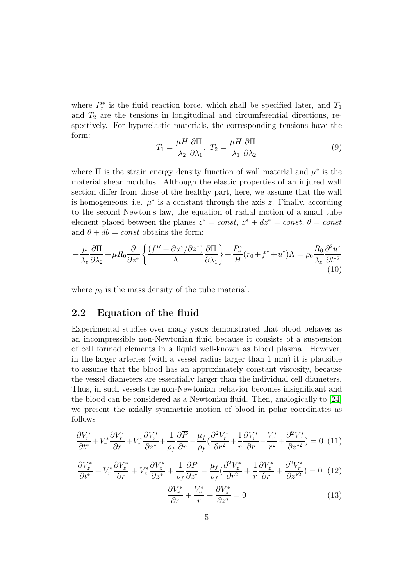where  $P_r^*$  $r^*$  is the fluid reaction force, which shall be specified later, and  $T_1$ and  $T_2$  are the tensions in longitudinal and circumferential directions, respectively. For hyperelastic materials, the corresponding tensions have the form:

$$
T_1 = \frac{\mu H}{\lambda_2} \frac{\partial \Pi}{\partial \lambda_1}, \ T_2 = \frac{\mu H}{\lambda_1} \frac{\partial \Pi}{\partial \lambda_2} \tag{9}
$$

where  $\Pi$  is the strain energy density function of wall material and  $\mu^*$  is the material shear modulus. Although the elastic properties of an injured wall section differ from those of the healthy part, here, we assume that the wall is homogeneous, i.e.  $\mu^*$  is a constant through the axis z. Finally, according to the second Newton's law, the equation of radial motion of a small tube element placed between the planes  $z^* = const, z^* + dz^* = const, \theta = const$ and  $\theta + d\theta = const$  obtains the form:

$$
-\frac{\mu}{\lambda_z} \frac{\partial \Pi}{\partial \lambda_2} + \mu R_0 \frac{\partial}{\partial z^*} \left\{ \frac{(f^{*\prime} + \partial u^*/\partial z^*)}{\Lambda} \frac{\partial \Pi}{\partial \lambda_1} \right\} + \frac{P_r^*}{H} (r_0 + f^* + u^*) \Lambda = \rho_0 \frac{R_0}{\lambda_z} \frac{\partial^2 u^*}{\partial t^{*2}}
$$
(10)

where  $\rho_0$  is the mass density of the tube material.

#### 2.2 Equation of the fluid

Experimental studies over many years demonstrated that blood behaves as an incompressible non-Newtonian fluid because it consists of a suspension of cell formed elements in a liquid well-known as blood plasma. However, in the larger arteries (with a vessel radius larger than 1 mm) it is plausible to assume that the blood has an approximately constant viscosity, because the vessel diameters are essentially larger than the individual cell diameters. Thus, in such vessels the non-Newtonian behavior becomes insignificant and the blood can be considered as a Newtonian fluid. Then, analogically to [\[24\]](#page-15-5) we present the axially symmetric motion of blood in polar coordinates as follows

<span id="page-4-0"></span>
$$
\frac{\partial V_r^*}{\partial t^*} + V_r^* \frac{\partial V_r^*}{\partial r} + V_z^* \frac{\partial V_r^*}{\partial z^*} + \frac{1}{\rho_f} \frac{\partial \overline{P}}{\partial r} - \frac{\mu_f}{\rho_f} \left( \frac{\partial^2 V_r^*}{\partial r^2} + \frac{1}{r} \frac{\partial V_r^*}{\partial r} - \frac{V_r^*}{r^2} + \frac{\partial^2 V_r^*}{\partial z^{*2}} \right) = 0 \tag{11}
$$

$$
\frac{\partial V_z^*}{\partial t^*} + V_r^* \frac{\partial V_z^*}{\partial r} + V_z^* \frac{\partial V_z^*}{\partial z^*} + \frac{1}{\rho_f} \frac{\partial \overline{P}}{\partial z^*} - \frac{\mu_f}{\rho_f} \left( \frac{\partial^2 V_z^*}{\partial r^2} + \frac{1}{r} \frac{\partial V_z^*}{\partial r} + \frac{\partial^2 V_r^*}{\partial z^{*2}} \right) = 0 \tag{12}
$$

<span id="page-4-1"></span>
$$
\frac{\partial V_r^*}{\partial r} + \frac{V_r^*}{r} + \frac{\partial V_z^*}{\partial z^*} = 0
$$
\n(13)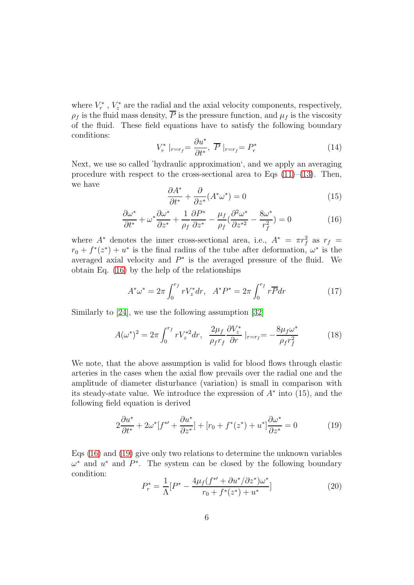where  $V_r^*$  $r^*$ ,  $V_z^*$  $z^*$  are the radial and the axial velocity components, respectively,  $\rho_f$  is the fluid mass density,  $\overline{P}$  is the pressure function, and  $\mu_f$  is the viscosity of the fluid. These field equations have to satisfy the following boundary conditions:

$$
V_r^* \mid_{r=r_f} = \frac{\partial u^*}{\partial t^*}, \ \overline{P} \mid_{r=r_f} = P_r^* \tag{14}
$$

Next, we use so called 'hydraulic approximation', and we apply an averaging procedure with respect to the cross-sectional area to Eqs  $(11)$ – $(13)$ . Then, we have

$$
\frac{\partial A^*}{\partial t^*} + \frac{\partial}{\partial z^*} (A^* \omega^*) = 0 \tag{15}
$$

<span id="page-5-0"></span>
$$
\frac{\partial \omega^*}{\partial t^*} + \omega^* \frac{\partial \omega^*}{\partial z^*} + \frac{1}{\rho_f} \frac{\partial P^*}{\partial z^*} - \frac{\mu_f}{\rho_f} \left( \frac{\partial^2 \omega^*}{\partial z^{*2}} - \frac{8\omega^*}{r_f^2} \right) = 0 \tag{16}
$$

where  $A^*$  denotes the inner cross-sectional area, i.e.,  $A^* = \pi r_f^2$  as  $r_f =$  $r_0 + f^*(z^*) + u^*$  is the final radius of the tube after deformation,  $\omega^*$  is the averaged axial velocity and  $P^*$  is the averaged pressure of the fluid. We obtain Eq. [\(16\)](#page-5-0) by the help of the relationships

$$
A^*\omega^* = 2\pi \int_0^{r_f} rV_z^* dr, \quad A^* P^* = 2\pi \int_0^{r_f} r\overline{P} dr \tag{17}
$$

Similarly to [\[24\]](#page-15-5), we use the following assumption [\[32\]](#page-16-2)

$$
A(\omega^*)^2 = 2\pi \int_0^{r_f} r V_z^{*2} dr, \quad \frac{2\mu_f}{\rho_f r_f} \frac{\partial V_z^*}{\partial r} \mid_{r=r_f} = -\frac{8\mu_f \omega^*}{\rho_f r_f^2}
$$
(18)

We note, that the above assumption is valid for blood flows through elastic arteries in the cases when the axial flow prevails over the radial one and the amplitude of diameter disturbance (variation) is small in comparison with its steady-state value. We introduce the expression of  $A^*$  into (15), and the following field equation is derived

<span id="page-5-1"></span>
$$
2\frac{\partial u^*}{\partial t^*} + 2\omega^*[f^{*\prime} + \frac{\partial u^*}{\partial z^*}] + [r_0 + f^*(z^*) + u^*]\frac{\partial \omega^*}{\partial z^*} = 0 \tag{19}
$$

Eqs [\(16\)](#page-5-0) and [\(19\)](#page-5-1) give only two relations to determine the unknown variables  $\omega^*$  and  $u^*$  and  $P^*$ . The system can be closed by the following boundary condition:

<span id="page-5-2"></span>
$$
P_r^* = \frac{1}{\Lambda} [P^* - \frac{4\mu_f (f^{*\prime} + \partial u^* / \partial z^*) \omega^*}{r_0 + f^*(z^*) + u^*}]
$$
\n(20)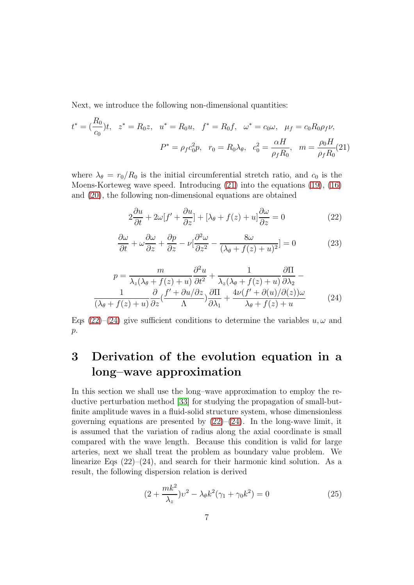Next, we introduce the following non-dimensional quantities:

<span id="page-6-0"></span>
$$
t^* = \left(\frac{R_0}{c_0}\right)t, \quad z^* = R_0 z, \quad u^* = R_0 u, \quad f^* = R_0 f, \quad \omega^* = c_0 \omega, \quad \mu_f = c_0 R_0 \rho_f \nu,
$$

$$
P^* = \rho_f c_0^2 p, \quad r_0 = R_0 \lambda_\theta, \quad c_0^2 = \frac{\alpha H}{\rho_f R_0}, \quad m = \frac{\rho_0 H}{\rho_f R_0}(21)
$$

where  $\lambda_{\theta} = r_0/R_0$  is the initial circumferential stretch ratio, and  $c_0$  is the Moens-Korteweg wave speed. Introducing [\(21\)](#page-6-0) into the equations [\(19\)](#page-5-1), [\(16\)](#page-5-0) and [\(20\)](#page-5-2), the following non-dimensional equations are obtained

<span id="page-6-1"></span>
$$
2\frac{\partial u}{\partial t} + 2\omega[f' + \frac{\partial u}{\partial z}] + [\lambda_{\theta} + f(z) + u]\frac{\partial \omega}{\partial z} = 0
$$
 (22)

$$
\frac{\partial \omega}{\partial t} + \omega \frac{\partial \omega}{\partial z} + \frac{\partial p}{\partial z} - \nu \left[ \frac{\partial^2 \omega}{\partial z^2} - \frac{8\omega}{(\lambda_\theta + f(z) + u)^2} \right] = 0 \tag{23}
$$

<span id="page-6-2"></span>
$$
p = \frac{m}{\lambda_z(\lambda_\theta + f(z) + u)} \frac{\partial^2 u}{\partial t^2} + \frac{1}{\lambda_z(\lambda_\theta + f(z) + u)} \frac{\partial \Pi}{\partial \lambda_2} - \frac{1}{(\lambda_\theta + f(z) + u)} \frac{\partial}{\partial z} \left( \frac{f' + \partial u/\partial z}{\Lambda} \right) \frac{\partial \Pi}{\partial \lambda_1} + \frac{4\nu(f' + \partial(u)/\partial(z))\omega}{\lambda_\theta + f(z) + u} \tag{24}
$$

Eqs [\(22\)](#page-6-1)–[\(24\)](#page-6-2) give sufficient conditions to determine the variables  $u, \omega$  and  $p$ .

# 3 Derivation of the evolution equation in a long–wave approximation

In this section we shall use the long–wave approximation to employ the reductive perturbation method [\[33\]](#page-16-3) for studying the propagation of small-butfinite amplitude waves in a fluid-solid structure system, whose dimensionless governing equations are presented by  $(22)$ – $(24)$ . In the long-wave limit, it is assumed that the variation of radius along the axial coordinate is small compared with the wave length. Because this condition is valid for large arteries, next we shall treat the problem as boundary value problem. We linearize Eqs  $(22)$ – $(24)$ , and search for their harmonic kind solution. As a result, the following dispersion relation is derived

$$
(2 + \frac{mk^2}{\lambda_z})v^2 - \lambda_\theta k^2(\gamma_1 + \gamma_0 k^2) = 0
$$
 (25)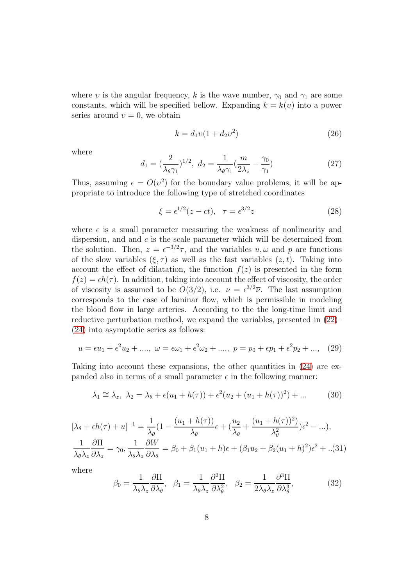where v is the angular frequency, k is the wave number,  $\gamma_0$  and  $\gamma_1$  are some constants, which will be specified bellow. Expanding  $k = k(v)$  into a power series around  $v = 0$ , we obtain

$$
k = d_1 v (1 + d_2 v^2)
$$
 (26)

where

$$
d_1 = \left(\frac{2}{\lambda_\theta \gamma_1}\right)^{1/2}, \ d_2 = \frac{1}{\lambda_\theta \gamma_1} \left(\frac{m}{2\lambda_z} - \frac{\gamma_0}{\gamma_1}\right) \tag{27}
$$

Thus, assuming  $\epsilon = O(v^2)$  for the boundary value problems, it will be appropriate to introduce the following type of stretched coordinates

<span id="page-7-0"></span>
$$
\xi = \epsilon^{1/2}(z - ct), \quad \tau = \epsilon^{3/2}z \tag{28}
$$

where  $\epsilon$  is a small parameter measuring the weakness of nonlinearity and dispersion, and and  $c$  is the scale parameter which will be determined from the solution. Then,  $z = e^{-3/2}\tau$ , and the variables  $u, \omega$  and p are functions of the slow variables  $(\xi, \tau)$  as well as the fast variables  $(z, t)$ . Taking into account the effect of dilatation, the function  $f(z)$  is presented in the form  $f(z) = \epsilon h(\tau)$ . In addition, taking into account the effect of viscosity, the order of viscosity is assumed to be  $O(3/2)$ , i.e.  $\nu = \epsilon^{3/2} \overline{\nu}$ . The last assumption corresponds to the case of laminar flow, which is permissible in modeling the blood flow in large arteries. According to the the long-time limit and reductive perturbation method, we expand the variables, presented in [\(22\)](#page-6-1)– [\(24\)](#page-6-2) into asymptotic series as follows:

$$
u = \epsilon u_1 + \epsilon^2 u_2 + \dots, \ \omega = \epsilon \omega_1 + \epsilon^2 \omega_2 + \dots, \ p = p_0 + \epsilon p_1 + \epsilon^2 p_2 + \dots, \tag{29}
$$

Taking into account these expansions, the other quantities in [\(24\)](#page-6-2) are expanded also in terms of a small parameter  $\epsilon$  in the following manner:

$$
\lambda_1 \cong \lambda_z, \ \lambda_2 = \lambda_\theta + \epsilon (u_1 + h(\tau)) + \epsilon^2 (u_2 + (u_1 + h(\tau))^2) + \dots \tag{30}
$$

<span id="page-7-1"></span>
$$
[\lambda_{\theta} + \epsilon h(\tau) + u]^{-1} = \frac{1}{\lambda_{\theta}} (1 - \frac{(u_1 + h(\tau))}{\lambda_{\theta}} \epsilon + (\frac{u_2}{\lambda_{\theta}} + \frac{(u_1 + h(\tau))^2}{\lambda_{\theta}^2}) \epsilon^2 - ...),
$$
  

$$
\frac{1}{\lambda_{\theta} \lambda_z} \frac{\partial \Pi}{\partial \lambda_z} = \gamma_0, \frac{1}{\lambda_{\theta} \lambda_z} \frac{\partial W}{\partial \lambda_{\theta}} = \beta_0 + \beta_1 (u_1 + h) \epsilon + (\beta_1 u_2 + \beta_2 (u_1 + h)^2) \epsilon^2 + ... (31)
$$

where

$$
\beta_0 = \frac{1}{\lambda_\theta \lambda_z} \frac{\partial \Pi}{\partial \lambda_\theta}, \quad \beta_1 = \frac{1}{\lambda_\theta \lambda_z} \frac{\partial^2 \Pi}{\partial \lambda_\theta^2}, \quad \beta_2 = \frac{1}{2\lambda_\theta \lambda_z} \frac{\partial^3 \Pi}{\partial \lambda_\theta^3}, \tag{32}
$$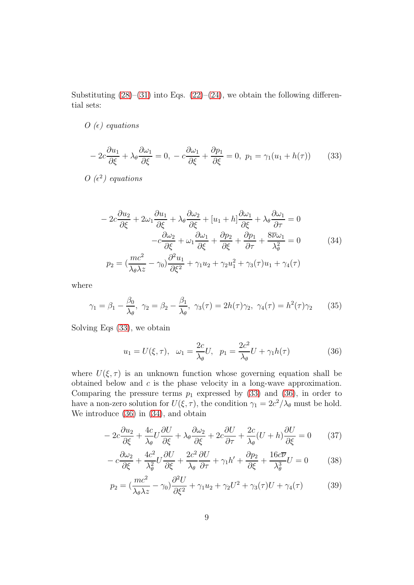Substituting  $(28)$ – $(31)$  into Eqs.  $(22)$ – $(24)$ , we obtain the following differential sets:

#### $O(\epsilon)$  equations

<span id="page-8-0"></span>
$$
-2c\frac{\partial u_1}{\partial \xi} + \lambda_\theta \frac{\partial \omega_1}{\partial \xi} = 0, \ -c\frac{\partial \omega_1}{\partial \xi} + \frac{\partial p_1}{\partial \xi} = 0, \ p_1 = \gamma_1 (u_1 + h(\tau)) \tag{33}
$$

O  $(\epsilon^2)$  equations

<span id="page-8-2"></span>
$$
-2c\frac{\partial u_2}{\partial \xi} + 2\omega_1 \frac{\partial u_1}{\partial \xi} + \lambda_\theta \frac{\partial \omega_2}{\partial \xi} + [u_1 + h] \frac{\partial \omega_1}{\partial \xi} + \lambda_\theta \frac{\partial \omega_1}{\partial \tau} = 0
$$

$$
-c\frac{\partial \omega_2}{\partial \xi} + \omega_1 \frac{\partial \omega_1}{\partial \xi} + \frac{\partial p_2}{\partial \xi} + \frac{\partial p_1}{\partial \tau} + \frac{8\overline{\nu}\omega_1}{\lambda_\theta^2} = 0
$$
(34)
$$
p_2 = \left(\frac{mc^2}{\lambda_\theta \lambda_z} - \gamma_0\right) \frac{\partial^2 u_1}{\partial \xi^2} + \gamma_1 u_2 + \gamma_2 u_1^2 + \gamma_3(\tau)u_1 + \gamma_4(\tau)
$$

where

$$
\gamma_1 = \beta_1 - \frac{\beta_0}{\lambda_\theta}, \ \gamma_2 = \beta_2 - \frac{\beta_1}{\lambda_\theta}, \ \gamma_3(\tau) = 2h(\tau)\gamma_2, \ \gamma_4(\tau) = h^2(\tau)\gamma_2 \tag{35}
$$

Solving Eqs [\(33\)](#page-8-0), we obtain

<span id="page-8-1"></span>
$$
u_1 = U(\xi, \tau), \quad \omega_1 = \frac{2c}{\lambda_{\theta}}U, \quad p_1 = \frac{2c^2}{\lambda_{\theta}}U + \gamma_1 h(\tau)
$$
 (36)

where  $U(\xi, \tau)$  is an unknown function whose governing equation shall be obtained below and  $c$  is the phase velocity in a long-wave approximation. Comparing the pressure terms  $p_1$  expressed by [\(33\)](#page-8-0) and [\(36\)](#page-8-1), in order to have a non-zero solution for  $U(\xi, \tau)$ , the condition  $\gamma_1 = 2c^2/\lambda_\theta$  must be hold. We introduce [\(36\)](#page-8-1) in [\(34\)](#page-8-2), and obtain

<span id="page-8-5"></span>
$$
-2c\frac{\partial u_2}{\partial \xi} + \frac{4c}{\lambda_\theta}U\frac{\partial U}{\partial \xi} + \lambda_\theta \frac{\partial \omega_2}{\partial \xi} + 2c\frac{\partial U}{\partial \tau} + \frac{2c}{\lambda_\theta}(U+h)\frac{\partial U}{\partial \xi} = 0 \tag{37}
$$

<span id="page-8-4"></span>
$$
-c\frac{\partial \omega_2}{\partial \xi} + \frac{4c^2}{\lambda_\theta^2} U \frac{\partial U}{\partial \xi} + \frac{2c^2}{\lambda_\theta} \frac{\partial U}{\partial \tau} + \gamma_1 h' + \frac{\partial p_2}{\partial \xi} + \frac{16c\overline{\nu}}{\lambda_\theta^3} U = 0 \tag{38}
$$

<span id="page-8-3"></span>
$$
p_2 = \left(\frac{mc^2}{\lambda_\theta \lambda z} - \gamma_0\right) \frac{\partial^2 U}{\partial \xi^2} + \gamma_1 u_2 + \gamma_2 U^2 + \gamma_3(\tau)U + \gamma_4(\tau) \tag{39}
$$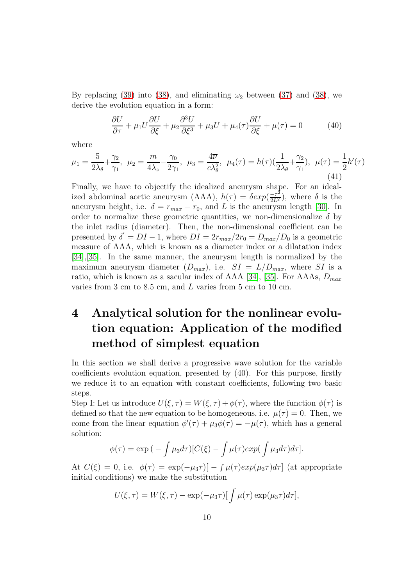By replacing [\(39\)](#page-8-3) into [\(38\)](#page-8-4), and eliminating  $\omega_2$  between [\(37\)](#page-8-5) and (38), we derive the evolution equation in a form:

<span id="page-9-0"></span>
$$
\frac{\partial U}{\partial \tau} + \mu_1 U \frac{\partial U}{\partial \xi} + \mu_2 \frac{\partial^3 U}{\partial \xi^3} + \mu_3 U + \mu_4(\tau) \frac{\partial U}{\partial \xi} + \mu(\tau) = 0 \tag{40}
$$

where

$$
\mu_1 = \frac{5}{2\lambda_\theta} + \frac{\gamma_2}{\gamma_1}, \ \mu_2 = \frac{m}{4\lambda_z} - \frac{\gamma_0}{2\gamma_1}, \ \mu_3 = \frac{4\overline{\nu}}{c\lambda_\theta^2}, \ \mu_4(\tau) = h(\tau)(\frac{1}{2\lambda_\theta} + \frac{\gamma_2}{\gamma_1}), \ \mu(\tau) = \frac{1}{2}h'(\tau) \tag{41}
$$

Finally, we have to objectify the idealized aneurysm shape. For an idealized abdominal aortic aneurysm (AAA),  $h(\tau) = \delta exp(\frac{-\tau^2}{2L^2})$ , where  $\delta$  is the aneurysm height, i.e.  $\delta = r_{max} - r_0$ , and L is the aneurysm length [\[30\]](#page-16-1). In order to normalize these geometric quantities, we non-dimensionalize  $\delta$  by the inlet radius (diameter). Then, the non-dimensional coefficient can be presented by  $\delta^{'} = DI - 1$ , where  $DI = 2r_{max}/2r_0 = D_{max}/D_0$  is a geometric measure of AAA, which is known as a diameter index or a dilatation index [\[34\]](#page-16-4),[\[35\]](#page-16-5). In the same manner, the aneurysm length is normalized by the maximum aneurysm diameter  $(D_{max})$ , i.e.  $SI = L/D_{max}$ , where SI is a ratio, which is known as a sacular index of AAA [\[34\]](#page-16-4), [\[35\]](#page-16-5). For AAAs,  $D_{max}$ varies from 3 cm to 8.5 cm, and L varies from 5 cm to 10 cm.

## 4 Analytical solution for the nonlinear evolution equation: Application of the modified method of simplest equation

In this section we shall derive a progressive wave solution for the variable coefficients evolution equation, presented by (40). For this purpose, firstly we reduce it to an equation with constant coefficients, following two basic steps.

Step I: Let us introduce  $U(\xi, \tau) = W(\xi, \tau) + \phi(\tau)$ , where the function  $\phi(\tau)$  is defined so that the new equation to be homogeneous, i.e.  $\mu(\tau) = 0$ . Then, we come from the linear equation  $\phi'(\tau) + \mu_3 \phi(\tau) = -\mu(\tau)$ , which has a general solution:

$$
\phi(\tau) = \exp\left(-\int \mu_3 d\tau\right)[C(\xi) - \int \mu(\tau) exp\left(\int \mu_3 d\tau\right) d\tau].
$$

At  $C(\xi) = 0$ , i.e.  $\phi(\tau) = \exp(-\mu_3 \tau) [-\int \mu(\tau) exp(\mu_3 \tau) d\tau]$  (at appropriate initial conditions) we make the substitution

$$
U(\xi,\tau) = W(\xi,\tau) - \exp(-\mu_3 \tau) \left[ \int \mu(\tau) \exp(\mu_3 \tau) d\tau \right],
$$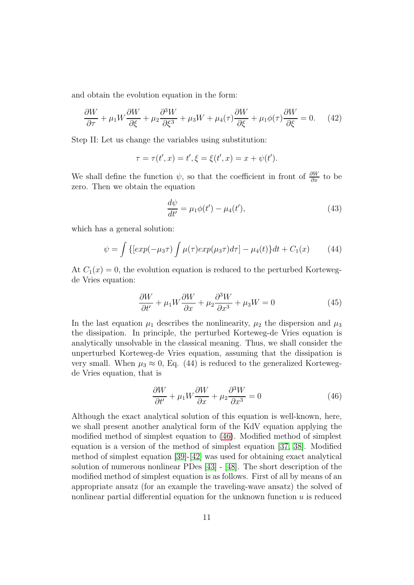and obtain the evolution equation in the form:

$$
\frac{\partial W}{\partial \tau} + \mu_1 W \frac{\partial W}{\partial \xi} + \mu_2 \frac{\partial^3 W}{\partial \xi^3} + \mu_3 W + \mu_4(\tau) \frac{\partial W}{\partial \xi} + \mu_1 \phi(\tau) \frac{\partial W}{\partial \xi} = 0.
$$
 (42)

Step II: Let us change the variables using substitution:

$$
\tau = \tau(t', x) = t', \xi = \xi(t', x) = x + \psi(t').
$$

We shall define the function  $\psi$ , so that the coefficient in front of  $\frac{\partial W}{\partial x}$  to be zero. Then we obtain the equation

$$
\frac{d\psi}{dt'} = \mu_1 \phi(t') - \mu_4(t'),\tag{43}
$$

which has a general solution:

$$
\psi = \int \{[exp(-\mu_3 \tau) \int \mu(\tau) exp(\mu_3 \tau) d\tau] - \mu_4(t)\} dt + C_1(x) \tag{44}
$$

At  $C_1(x) = 0$ , the evolution equation is reduced to the perturbed Kortewegde Vries equation:

$$
\frac{\partial W}{\partial t'} + \mu_1 W \frac{\partial W}{\partial x} + \mu_2 \frac{\partial^3 W}{\partial x^3} + \mu_3 W = 0 \tag{45}
$$

In the last equation  $\mu_1$  describes the nonlinearity,  $\mu_2$  the dispersion and  $\mu_3$ the dissipation. In principle, the perturbed Korteweg-de Vries equation is analytically unsolvable in the classical meaning. Thus, we shall consider the unperturbed Korteweg-de Vries equation, assuming that the dissipation is very small. When  $\mu_3 \approx 0$ , Eq. (44) is reduced to the generalized Kortewegde Vries equation, that is

<span id="page-10-0"></span>
$$
\frac{\partial W}{\partial t'} + \mu_1 W \frac{\partial W}{\partial x} + \mu_2 \frac{\partial^3 W}{\partial x^3} = 0
$$
\n(46)

Although the exact analytical solution of this equation is well-known, here, we shall present another analytical form of the KdV equation applying the modified method of simplest equation to [\(46\)](#page-10-0). Modified method of simplest equation is a version of the method of simplest equation [\[37,](#page-16-6) [38\]](#page-16-7). Modified method of simplest equation [\[39\]](#page-16-8)-[\[42\]](#page-17-0) was used for obtaining exact analytical solution of numerous nonlinear PDes [\[43\]](#page-17-1) - [\[48\]](#page-17-2). The short description of the modified method of simplest equation is as follows. First of all by means of an appropriate ansatz (for an example the traveling-wave ansatz) the solved of nonlinear partial differential equation for the unknown function  $u$  is reduced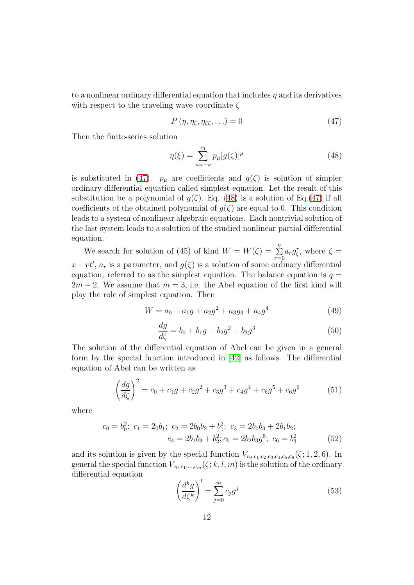to a nonlinear ordinary differential equation that includes  $\eta$  and its derivatives with respect to the traveling wave coordinate  $\zeta$ 

<span id="page-11-0"></span>
$$
P(\eta, \eta_{\zeta}, \eta_{\zeta\zeta}, \ldots) = 0 \tag{47}
$$

Then the finite-series solution

<span id="page-11-1"></span>
$$
\eta(\xi) = \sum_{\mu=-\nu}^{\nu_1} p_{\mu} [g(\zeta)]^{\mu} \tag{48}
$$

is substituted in [\(47\)](#page-11-0).  $p_{\mu}$  are coefficients and  $g(\zeta)$  is solution of simpler ordinary differential equation called simplest equation. Let the result of this substitution be a polynomial of  $g(\zeta)$ . Eq. [\(48\)](#page-11-1) is a solution of Eq.[\(47\)](#page-11-0) if all coefficients of the obtained polynomial of  $g(\zeta)$  are equal to 0. This condition leads to a system of nonlinear algebraic equations. Each nontrivial solution of the last system leads to a solution of the studied nonlinear partial differential equation.

We search for solution of (45) of kind  $W = W(\zeta) = \sum_{n=1}^{q}$  $\sum_{r=0}^{1} a_r g_{\zeta}^r$ , where  $\zeta =$  $x-vt'$ ,  $a_r$  is a parameter, and  $g(\zeta)$  is a solution of some ordinary differential equation, referred to as the simplest equation. The balance equation is  $q =$  $2m - 2$ . We assume that  $m = 3$ , i.e. the Abel equation of the first kind will play the role of simplest equation. Then

$$
W = a_0 + a_1g + a_2g^2 + a_3g_3 + a_4g^4 \tag{49}
$$

<span id="page-11-2"></span>
$$
\frac{dg}{d\zeta} = b_0 + b_1g + b_2g^2 + b_3g^3 \tag{50}
$$

The solution of the differential equation of Abel can be given in a general form by the special function introduced in [\[42\]](#page-17-0) as follows. The differential equation of Abel can be written as

$$
\left(\frac{dg}{d\zeta}\right)^2 = c_0 + c_1g + c_2g^2 + c_3g^3 + c_4g^4 + c_5g^5 + c_6g^6 \tag{51}
$$

where

$$
c_0 = b_0^2; \ c_1 = 2_0b_1; \ c_2 = 2b_0b_2 + b_1^2; \ c_3 = 2b_0b_3 + 2b_1b_2; \nc_4 = 2b_1b_3 + b_2^2; c_5 = 2b_2b_3g^5; \ c_6 = b_3^2
$$
\n(52)

and its solution is given by the special function  $V_{c_0,c_1,c_2,c_3,c_4,c_5,c_6}(\zeta;1,2,6)$ . In general the special function  $V_{c_0,c_1;\dots,c_m}(\zeta; k, l, m)$  is the solution of the ordinary differential equation

$$
\left(\frac{d^k g}{d\zeta^k}\right)^l = \sum_{j=0}^m c_j g^j \tag{53}
$$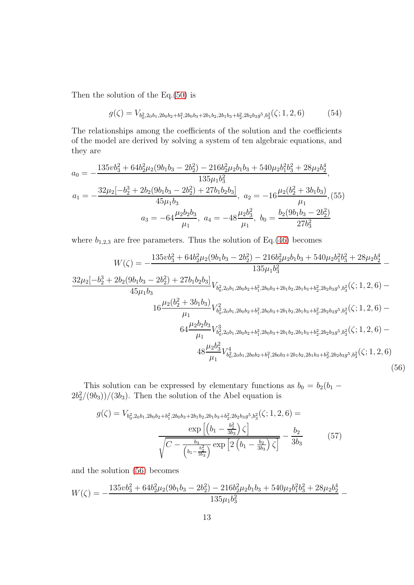Then the solution of the Eq.[\(50\)](#page-11-2) is

$$
g(\zeta) = V_{b_0^2, 2_0b_1, 2b_0b_2 + b_1^2, 2b_0b_3 + 2b_1b_2, 2b_1b_3 + b_2^2, 2b_2b_3g^5, b_3^2(\zeta; 1, 2, 6)
$$
 (54)

The relationships among the coefficients of the solution and the coefficients of the model are derived by solving a system of ten algebraic equations, and they are

$$
a_0 = -\frac{135vb_3^2 + 64b_2^2\mu_2(9b_1b_3 - 2b_2^2) - 216b_2^2\mu_2b_1b_3 + 540\mu_2b_1^2b_3^2 + 28\mu_2b_2^4}{135\mu_1b_3^2},
$$
  
\n
$$
a_1 = -\frac{32\mu_2[-b_2^3 + 2b_2(9b_1b_3 - 2b_2^2) + 27b_1b_2b_3]}{45\mu_1b_3},
$$
  
\n
$$
a_2 = -16\frac{\mu_2(b_2^2 + 3b_1b_3)}{\mu_1},
$$
  
\n
$$
a_3 = -64\frac{\mu_2b_2b_3}{\mu_1},
$$
  
\n
$$
a_4 = -48\frac{\mu_2b_3^2}{\mu_1},
$$
  
\n
$$
b_0 = \frac{b_2(9b_1b_3 - 2b_2^2)}{27b_3^2}
$$

where  $b_{1,2,3}$  are free parameters. Thus the solution of Eq.[\(46\)](#page-10-0) becomes

<span id="page-12-0"></span>
$$
W(\zeta) = -\frac{135vb_3^2 + 64b_2^2\mu_2(9b_1b_3 - 2b_2^2) - 216b_2^2\mu_2b_1b_3 + 540\mu_2b_1^2b_3^2 + 28\mu_2b_2^4}{135\mu_1b_3^2} - \frac{32\mu_2[-b_2^3 + 2b_2(9b_1b_3 - 2b_2^2) + 27b_1b_2b_3]}{45\mu_1b_3} V_{b_0^2,2ob_1,2b_0b_2+b_1^2,2b_0b_3+2b_1b_2,2b_1b_3+b_2^2,2b_2b_3g^5, b_3^2}(\zeta; 1, 2, 6) - \frac{\mu_2(b_2^2 + 3b_1b_3)}{\mu_1} V_{b_0^2,2ob_1,2b_0b_2+b_1^2,2b_0b_3+2b_1b_2,2b_1b_3+b_2^2,2b_2b_3g^5, b_3^2}(\zeta; 1, 2, 6) - \frac{\mu_2b_2b_3}{\mu_1} V_{b_0^2,2b_1,2b_0b_2+b_1^2,2b_0b_3+2b_1b_2,2b_1b_3+b_2^2,2b_2b_3g^5, b_3^2}(\zeta; 1, 2, 6) - \frac{4k_2b_3^2}{\mu_1} V_{b_0^2,2b_1,2b_0b_2+b_1^2,2b_0b_3+2b_1b_2,2b_1b_3+b_2^2,2b_2b_3g^5, b_3^2}(\zeta; 1, 2, 6) - \frac{48\mu_2b_3^2}{\mu_1} V_{b_0^2,2b_1,2b_0b_2+b_1^2,2b_0b_3+2b_1b_2,2b_1b_3+b_2^2,2b_2b_3g^5, b_3^2}(\zeta; 1, 2, 6) \tag{56}
$$

This solution can be expressed by elementary functions as  $b_0 = b_2(b_1 (2b_2^2/(9b_3))/(3b_3)$ . Then the solution of the Abel equation is

<span id="page-12-1"></span>
$$
g(\zeta) = V_{b_0^2, 2_0b_1, 2b_0b_2 + b_1^2, 2b_0b_3 + 2b_1b_2, 2b_1b_3 + b_2^2, 2b_2b_3g^5, b_3^2(\zeta; 1, 2, 6) = \frac{\exp\left[\left(b_1 - \frac{b_2^2}{3b_3}\right)\zeta\right]}{\sqrt{C - \frac{b_3}{\left(b_1 - \frac{b_2^2}{3b_3}\right)}\exp\left[2\left(b_1 - \frac{b_2}{3b_3}\right)\zeta\right]}} - \frac{b_2}{3b_3}
$$
(57)

and the solution [\(56\)](#page-12-0) becomes

$$
W(\zeta) = -\frac{135v b_3^2 + 64b_2^2 \mu_2 (9b_1 b_3 - 2b_2^2) - 216b_2^2 \mu_2 b_1 b_3 + 540 \mu_2 b_1^2 b_3^2 + 28 \mu_2 b_2^4}{135 \mu_1 b_3^2} -
$$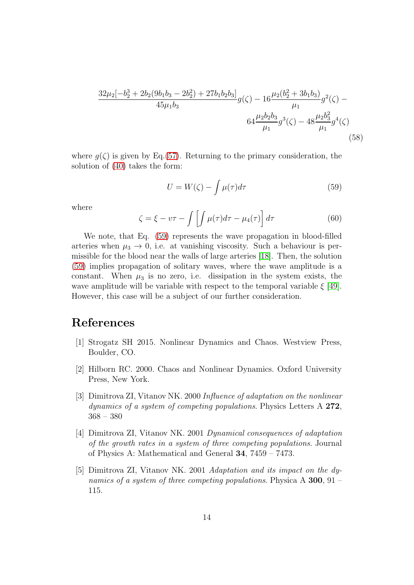$$
\frac{32\mu_2[-b_2^3 + 2b_2(9b_1b_3 - 2b_2^2) + 27b_1b_2b_3]}{45\mu_1b_3}g(\zeta) - 16\frac{\mu_2(b_2^2 + 3b_1b_3)}{\mu_1}g^2(\zeta) - 64\frac{\mu_2b_2b_3}{\mu_1}g^3(\zeta) - 48\frac{\mu_2b_3^2}{\mu_1}g^4(\zeta)
$$
\n(58)

where  $g(\zeta)$  is given by Eq.[\(57\)](#page-12-1). Returning to the primary consideration, the solution of [\(40\)](#page-9-0) takes the form:

<span id="page-13-1"></span>
$$
U = W(\zeta) - \int \mu(\tau) d\tau \tag{59}
$$

where

$$
\zeta = \xi - v\tau - \int \left[ \int \mu(\tau) d\tau - \mu_4(\tau) \right] d\tau \tag{60}
$$

We note, that Eq. [\(59\)](#page-13-1) represents the wave propagation in blood-filled arteries when  $\mu_3 \to 0$ , i.e. at vanishing viscosity. Such a behaviour is permissible for the blood near the walls of large arteries [\[18\]](#page-15-0). Then, the solution [\(59\)](#page-13-1) implies propagation of solitary waves, where the wave amplitude is a constant. When  $\mu_3$  is no zero, i.e. dissipation in the system exists, the wave amplitude will be variable with respect to the temporal variable  $\xi$  [\[49\]](#page-17-3). However, this case will be a subject of our further consideration.

### <span id="page-13-0"></span>References

- [1] Strogatz SH 2015. Nonlinear Dynamics and Chaos. Westview Press, Boulder, CO.
- [2] Hilborn RC. 2000. Chaos and Nonlinear Dynamics. Oxford University Press, New York.
- [3] Dimitrova ZI, Vitanov NK. 2000 Influence of adaptation on the nonlinear dynamics of a system of competing populations. Physics Letters A 272, 368 – 380
- [4] Dimitrova ZI, Vitanov NK. 2001 Dynamical consequences of adaptation of the growth rates in a system of three competing populations. Journal of Physics A: Mathematical and General 34, 7459 – 7473.
- [5] Dimitrova ZI, Vitanov NK. 2001 Adaptation and its impact on the dynamics of a system of three competing populations. Physica A 300, 91 – 115.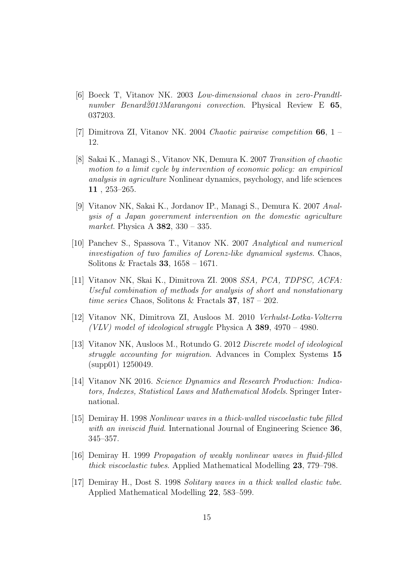- [6] Boeck T, Vitanov NK. 2003 Low-dimensional chaos in zero-Prandtlnumber Benard2013Marangoni convection. Physical Review E  $65$ , 037203.
- [7] Dimitrova ZI, Vitanov NK. 2004 Chaotic pairwise competition 66, 1 12.
- [8] Sakai K., Managi S., Vitanov NK, Demura K. 2007 Transition of chaotic motion to a limit cycle by intervention of economic policy: an empirical analysis in agriculture Nonlinear dynamics, psychology, and life sciences 11 , 253–265.
- [9] Vitanov NK, Sakai K., Jordanov IP., Managi S., Demura K. 2007 Analysis of a Japan government intervention on the domestic agriculture market. Physica A 382, 330 – 335.
- [10] Panchev S., Spassova T., Vitanov NK. 2007 Analytical and numerical investigation of two families of Lorenz-like dynamical systems. Chaos, Solitons & Fractals 33,  $1658 - 1671$ .
- [11] Vitanov NK, Skai K., Dimitrova ZI. 2008 SSA, PCA, TDPSC, ACFA: Useful combination of methods for analysis of short and nonstationary time series Chaos, Solitons & Fractals 37, 187 – 202.
- [12] Vitanov NK, Dimitrova ZI, Ausloos M. 2010 Verhulst-Lotka-Volterra (VLV) model of ideological struggle Physica A  $389, 4970 - 4980$ .
- [13] Vitanov NK, Ausloos M., Rotundo G. 2012 Discrete model of ideological struggle accounting for migration. Advances in Complex Systems 15 (supp01) 1250049.
- <span id="page-14-0"></span>[14] Vitanov NK 2016. Science Dynamics and Research Production: Indicators, Indexes, Statistical Laws and Mathematical Models. Springer International.
- <span id="page-14-1"></span>[15] Demiray H. 1998 Nonlinear waves in a thick-walled viscoelastic tube filled with an inviscid fluid. International Journal of Engineering Science 36, 345–357.
- <span id="page-14-2"></span>[16] Demiray H. 1999 Propagation of weakly nonlinear waves in fluid-filled thick viscoelastic tubes. Applied Mathematical Modelling 23, 779–798.
- <span id="page-14-3"></span>[17] Demiray H., Dost S. 1998 Solitary waves in a thick walled elastic tube. Applied Mathematical Modelling 22, 583–599.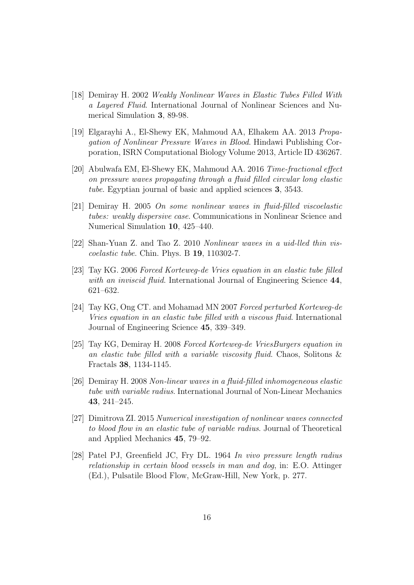- <span id="page-15-0"></span>[18] Demiray H. 2002 Weakly Nonlinear Waves in Elastic Tubes Filled With a Layered Fluid. International Journal of Nonlinear Sciences and Numerical Simulation 3, 89-98.
- [19] Elgarayhi A., El-Shewy EK, Mahmoud AA, Elhakem AA. 2013 Propagation of Nonlinear Pressure Waves in Blood. Hindawi Publishing Corporation, ISRN Computational Biology Volume 2013, Article ID 436267.
- <span id="page-15-1"></span>[20] Abulwafa EM, El-Shewy EK, Mahmoud AA. 2016 Time-fractional effect on pressure waves propagating through a fluid filled circular long elastic tube. Egyptian journal of basic and applied sciences 3, 3543.
- <span id="page-15-2"></span>[21] Demiray H. 2005 On some nonlinear waves in fluid-filled viscoelastic tubes: weakly dispersive case. Communications in Nonlinear Science and Numerical Simulation 10, 425–440.
- <span id="page-15-4"></span><span id="page-15-3"></span>[22] Shan-Yuan Z. and Tao Z. 2010 Nonlinear waves in a uid-lled thin viscoelastic tube. Chin. Phys. B 19, 110302-7.
- [23] Tay KG. 2006 Forced Korteweg-de Vries equation in an elastic tube filled with an inviscid fluid. International Journal of Engineering Science 44, 621–632.
- <span id="page-15-5"></span>[24] Tay KG, Ong CT. and Mohamad MN 2007 Forced perturbed Korteweg-de Vries equation in an elastic tube filled with a viscous fluid. International Journal of Engineering Science 45, 339–349.
- <span id="page-15-6"></span>[25] Tay KG, Demiray H. 2008 Forced Korteweg-de VriesBurgers equation in an elastic tube filled with a variable viscosity fluid. Chaos, Solitons & Fractals 38, 1134-1145.
- <span id="page-15-7"></span>[26] Demiray H. 2008 Non-linear waves in a fluid-filled inhomogeneous elastic tube with variable radius. International Journal of Non-Linear Mechanics 43, 241–245.
- <span id="page-15-8"></span>[27] Dimitrova ZI. 2015 Numerical investigation of nonlinear waves connected to blood flow in an elastic tube of variable radius. Journal of Theoretical and Applied Mechanics 45, 79–92.
- <span id="page-15-9"></span>[28] Patel PJ, Greenfield JC, Fry DL. 1964 In vivo pressure length radius relationship in certain blood vessels in man and dog, in: E.O. Attinger (Ed.), Pulsatile Blood Flow, McGraw-Hill, New York, p. 277.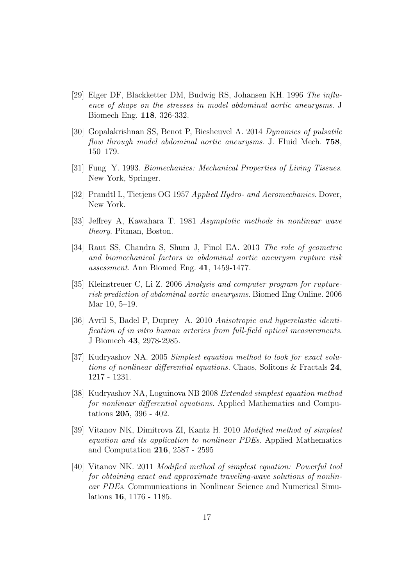- <span id="page-16-0"></span>[29] Elger DF, Blackketter DM, Budwig RS, Johansen KH. 1996 The influence of shape on the stresses in model abdominal aortic aneurysms. J Biomech Eng. 118, 326-332.
- <span id="page-16-1"></span>[30] Gopalakrishnan SS, Benot P, Biesheuvel A. 2014 Dynamics of pulsatile flow through model abdominal aortic aneurysms. J. Fluid Mech. 758, 150–179.
- <span id="page-16-2"></span>[31] Fung Y. 1993. Biomechanics: Mechanical Properties of Living Tissues. New York, Springer.
- <span id="page-16-3"></span>[32] Prandtl L, Tietjens OG 1957 Applied Hydro- and Aeromechanics. Dover, New York.
- <span id="page-16-4"></span>[33] Jeffrey A, Kawahara T. 1981 Asymptotic methods in nonlinear wave theory. Pitman, Boston.
- [34] Raut SS, Chandra S, Shum J, Finol EA. 2013 The role of geometric and biomechanical factors in abdominal aortic aneurysm rupture risk assessment. Ann Biomed Eng. 41, 1459-1477.
- <span id="page-16-5"></span>[35] Kleinstreuer C, Li Z. 2006 Analysis and computer program for rupturerisk prediction of abdominal aortic aneurysms. Biomed Eng Online. 2006 Mar 10, 5–19.
- [36] Avril S, Badel P, Duprey A. 2010 Anisotropic and hyperelastic identification of in vitro human arteries from full-field optical measurements. J Biomech 43, 2978-2985.
- <span id="page-16-6"></span>[37] Kudryashov NA. 2005 Simplest equation method to look for exact solutions of nonlinear differential equations. Chaos, Solitons & Fractals 24, 1217 - 1231.
- <span id="page-16-7"></span>[38] Kudryashov NA, Loguinova NB 2008 Extended simplest equation method for nonlinear differential equations. Applied Mathematics and Computations 205, 396 - 402.
- <span id="page-16-8"></span>[39] Vitanov NK, Dimitrova ZI, Kantz H. 2010 Modified method of simplest equation and its application to nonlinear PDEs. Applied Mathematics and Computation 216, 2587 - 2595
- [40] Vitanov NK. 2011 Modified method of simplest equation: Powerful tool for obtaining exact and approximate traveling-wave solutions of nonlinear PDEs. Communications in Nonlinear Science and Numerical Simulations 16, 1176 - 1185.